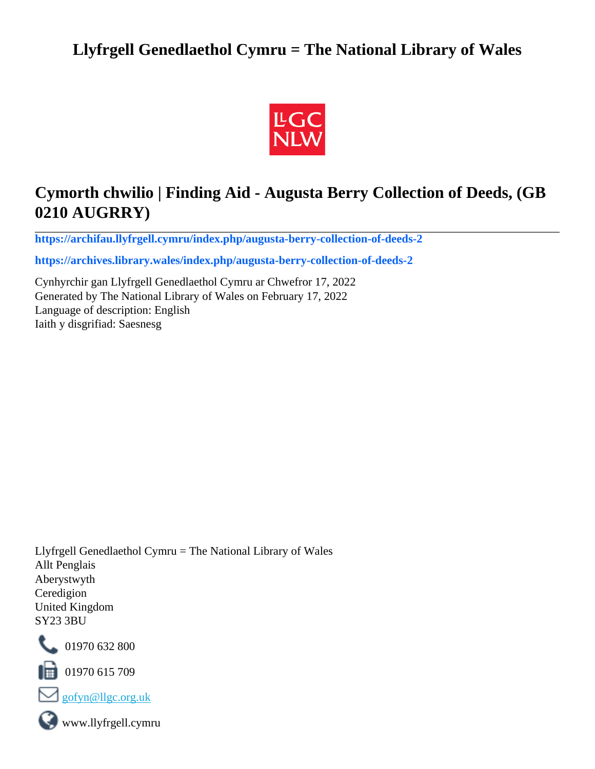# **Llyfrgell Genedlaethol Cymru = The National Library of Wales**



# **Cymorth chwilio | Finding Aid - Augusta Berry Collection of Deeds, (GB 0210 AUGRRY)**

**[https://archifau.llyfrgell.cymru/index.php/augusta-berry-collection-of-deeds-2](https://archifau.llyfrgell.cymru/index.php/augusta-berry-collection-of-deeds-2;isad?sf_culture=cy)**

**[https://archives.library.wales/index.php/augusta-berry-collection-of-deeds-2](https://archives.library.wales/index.php/augusta-berry-collection-of-deeds-2;isad?sf_culture=en)**

Cynhyrchir gan Llyfrgell Genedlaethol Cymru ar Chwefror 17, 2022 Generated by The National Library of Wales on February 17, 2022 Language of description: English Iaith y disgrifiad: Saesnesg

Llyfrgell Genedlaethol Cymru = The National Library of Wales Allt Penglais Aberystwyth Ceredigion United Kingdom SY23 3BU



101970 632 800

 $\blacksquare$  01970 615 709



www.llyfrgell.cymru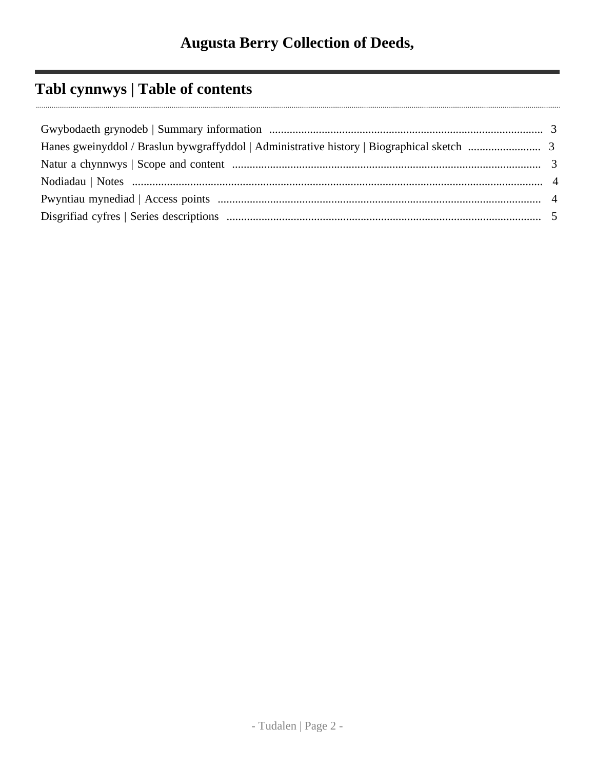# **Tabl cynnwys | Table of contents**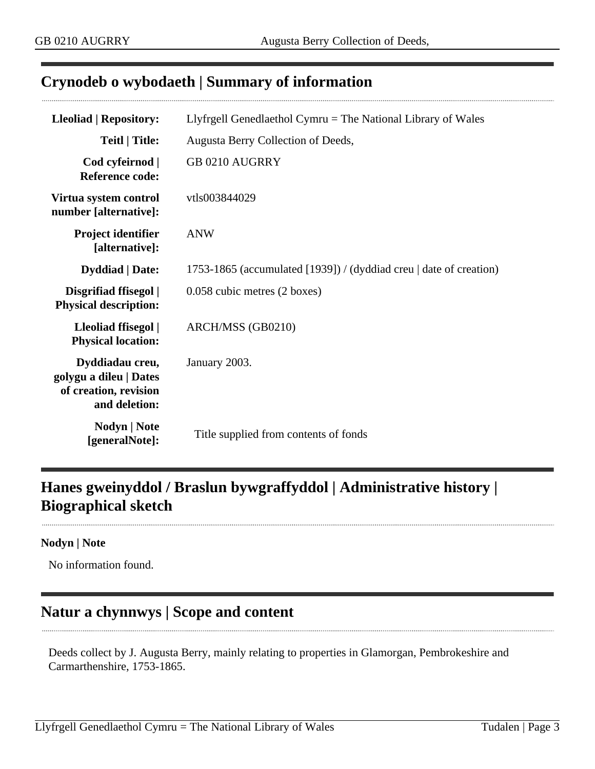## <span id="page-2-0"></span>**Crynodeb o wybodaeth | Summary of information**

| <b>Lleoliad   Repository:</b>                                                       | Llyfrgell Genedlaethol Cymru $=$ The National Library of Wales     |
|-------------------------------------------------------------------------------------|--------------------------------------------------------------------|
| <b>Teitl</b>   Title:                                                               | Augusta Berry Collection of Deeds,                                 |
| Cod cyfeirnod  <br><b>Reference code:</b>                                           | <b>GB 0210 AUGRRY</b>                                              |
| Virtua system control<br>number [alternative]:                                      | vtls003844029                                                      |
| Project identifier<br>[alternative]:                                                | <b>ANW</b>                                                         |
| <b>Dyddiad</b>   Date:                                                              | 1753-1865 (accumulated [1939]) / (dyddiad creu   date of creation) |
| Disgrifiad ffisegol  <br><b>Physical description:</b>                               | 0.058 cubic metres (2 boxes)                                       |
| Lleoliad ffisegol  <br><b>Physical location:</b>                                    | ARCH/MSS (GB0210)                                                  |
| Dyddiadau creu,<br>golygu a dileu   Dates<br>of creation, revision<br>and deletion: | January 2003.                                                      |
| Nodyn   Note<br>[generalNote]:                                                      | Title supplied from contents of fonds                              |

# <span id="page-2-1"></span>**Hanes gweinyddol / Braslun bywgraffyddol | Administrative history | Biographical sketch**

#### **Nodyn | Note**

No information found.

## <span id="page-2-2"></span>**Natur a chynnwys | Scope and content**

Deeds collect by J. Augusta Berry, mainly relating to properties in Glamorgan, Pembrokeshire and Carmarthenshire, 1753-1865.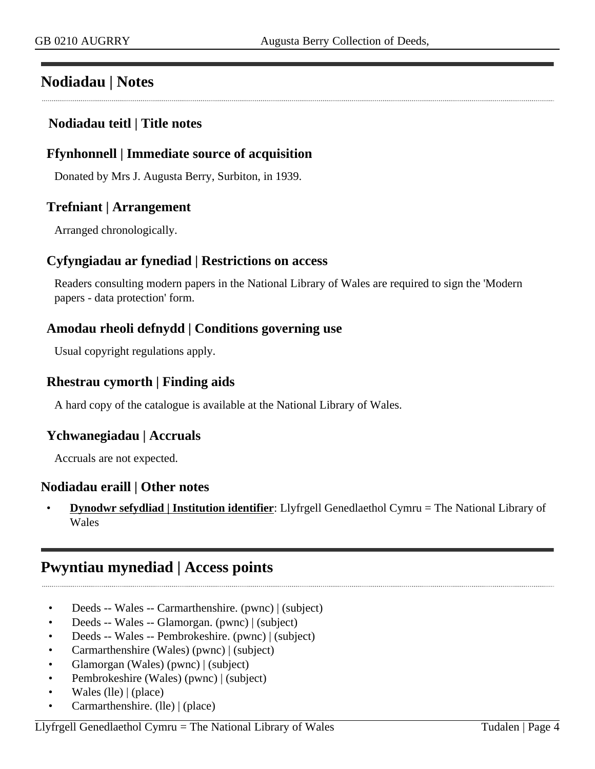## <span id="page-3-0"></span>**Nodiadau | Notes**

### **Nodiadau teitl | Title notes**

### **Ffynhonnell | Immediate source of acquisition**

Donated by Mrs J. Augusta Berry, Surbiton, in 1939.

#### **Trefniant | Arrangement**

Arranged chronologically.

#### **Cyfyngiadau ar fynediad | Restrictions on access**

Readers consulting modern papers in the National Library of Wales are required to sign the 'Modern papers - data protection' form.

#### **Amodau rheoli defnydd | Conditions governing use**

Usual copyright regulations apply.

#### **Rhestrau cymorth | Finding aids**

A hard copy of the catalogue is available at the National Library of Wales.

#### **Ychwanegiadau | Accruals**

Accruals are not expected.

#### **Nodiadau eraill | Other notes**

• **Dynodwr sefydliad | Institution identifier**: Llyfrgell Genedlaethol Cymru = The National Library of Wales

## <span id="page-3-1"></span>**Pwyntiau mynediad | Access points**

- Deeds -- Wales -- Carmarthenshire. (pwnc) | (subject)
- Deeds -- Wales -- Glamorgan. (pwnc) | (subject)
- Deeds -- Wales -- Pembrokeshire. (pwnc) | (subject)
- Carmarthenshire (Wales) (pwnc) | (subject)
- Glamorgan (Wales) (pwnc) | (subject)
- Pembrokeshire (Wales) (pwnc) | (subject)
- Wales (lle) | (place)
- Carmarthenshire. (lle) | (place)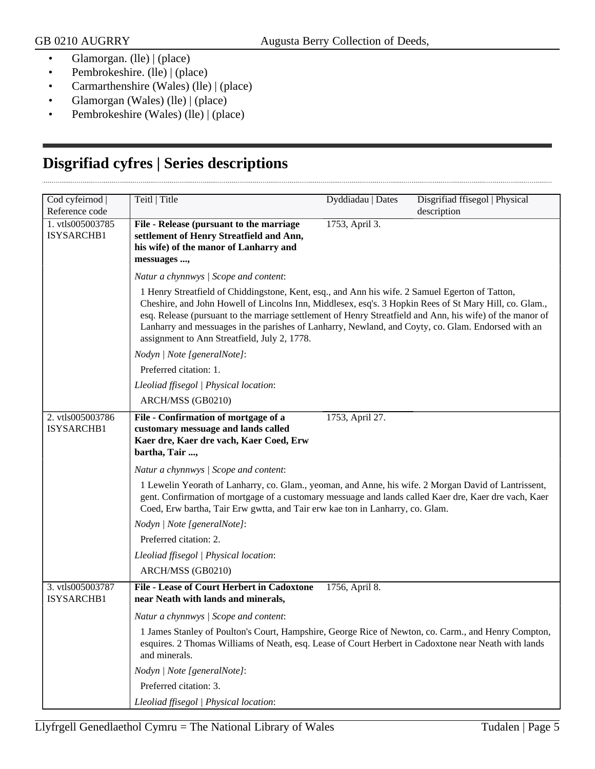- Glamorgan. (lle) | (place)
- Pembrokeshire. (lle) | (place)
- Carmarthenshire (Wales) (lle) | (place)
- Glamorgan (Wales) (lle) | (place)
- Pembrokeshire (Wales) (lle) | (place)

## <span id="page-4-0"></span>**Disgrifiad cyfres | Series descriptions**

| Cod cyfeirnod                  | Teitl   Title                                                                                                                                                                                                                                                                                                                                                                                                                                                                | Dyddiadau   Dates | Disgrifiad ffisegol   Physical |
|--------------------------------|------------------------------------------------------------------------------------------------------------------------------------------------------------------------------------------------------------------------------------------------------------------------------------------------------------------------------------------------------------------------------------------------------------------------------------------------------------------------------|-------------------|--------------------------------|
| Reference code                 |                                                                                                                                                                                                                                                                                                                                                                                                                                                                              |                   | description                    |
| 1. vtls005003785<br>ISYSARCHB1 | File - Release (pursuant to the marriage<br>settlement of Henry Streatfield and Ann,<br>his wife) of the manor of Lanharry and<br>messuages ,                                                                                                                                                                                                                                                                                                                                | 1753, April 3.    |                                |
|                                | Natur a chynnwys / Scope and content:                                                                                                                                                                                                                                                                                                                                                                                                                                        |                   |                                |
|                                | 1 Henry Streatfield of Chiddingstone, Kent, esq., and Ann his wife. 2 Samuel Egerton of Tatton,<br>Cheshire, and John Howell of Lincolns Inn, Middlesex, esq's. 3 Hopkin Rees of St Mary Hill, co. Glam.,<br>esq. Release (pursuant to the marriage settlement of Henry Streatfield and Ann, his wife) of the manor of<br>Lanharry and messuages in the parishes of Lanharry, Newland, and Coyty, co. Glam. Endorsed with an<br>assignment to Ann Streatfield, July 2, 1778. |                   |                                |
|                                | Nodyn   Note [generalNote]:                                                                                                                                                                                                                                                                                                                                                                                                                                                  |                   |                                |
|                                | Preferred citation: 1.                                                                                                                                                                                                                                                                                                                                                                                                                                                       |                   |                                |
|                                | Lleoliad ffisegol   Physical location:                                                                                                                                                                                                                                                                                                                                                                                                                                       |                   |                                |
|                                | ARCH/MSS (GB0210)                                                                                                                                                                                                                                                                                                                                                                                                                                                            |                   |                                |
| 2. vtls005003786<br>ISYSARCHB1 | File - Confirmation of mortgage of a<br>customary messuage and lands called<br>Kaer dre, Kaer dre vach, Kaer Coed, Erw<br>bartha, Tair ,                                                                                                                                                                                                                                                                                                                                     | 1753, April 27.   |                                |
|                                | Natur a chynnwys / Scope and content:                                                                                                                                                                                                                                                                                                                                                                                                                                        |                   |                                |
|                                | 1 Lewelin Yeorath of Lanharry, co. Glam., yeoman, and Anne, his wife. 2 Morgan David of Lantrissent,<br>gent. Confirmation of mortgage of a customary messuage and lands called Kaer dre, Kaer dre vach, Kaer<br>Coed, Erw bartha, Tair Erw gwtta, and Tair erw kae ton in Lanharry, co. Glam.                                                                                                                                                                               |                   |                                |
|                                | Nodyn   Note [generalNote]:                                                                                                                                                                                                                                                                                                                                                                                                                                                  |                   |                                |
|                                | Preferred citation: 2.                                                                                                                                                                                                                                                                                                                                                                                                                                                       |                   |                                |
|                                | Lleoliad ffisegol   Physical location:                                                                                                                                                                                                                                                                                                                                                                                                                                       |                   |                                |
|                                | ARCH/MSS (GB0210)                                                                                                                                                                                                                                                                                                                                                                                                                                                            |                   |                                |
| 3. vtls005003787<br>ISYSARCHB1 | <b>File - Lease of Court Herbert in Cadoxtone</b><br>near Neath with lands and minerals,                                                                                                                                                                                                                                                                                                                                                                                     | 1756, April 8.    |                                |
|                                | Natur a chynnwys / Scope and content:                                                                                                                                                                                                                                                                                                                                                                                                                                        |                   |                                |
|                                | 1 James Stanley of Poulton's Court, Hampshire, George Rice of Newton, co. Carm., and Henry Compton,<br>esquires. 2 Thomas Williams of Neath, esq. Lease of Court Herbert in Cadoxtone near Neath with lands<br>and minerals.                                                                                                                                                                                                                                                 |                   |                                |
|                                | Nodyn   Note [generalNote]:                                                                                                                                                                                                                                                                                                                                                                                                                                                  |                   |                                |
|                                | Preferred citation: 3.                                                                                                                                                                                                                                                                                                                                                                                                                                                       |                   |                                |
|                                | Lleoliad ffisegol   Physical location:                                                                                                                                                                                                                                                                                                                                                                                                                                       |                   |                                |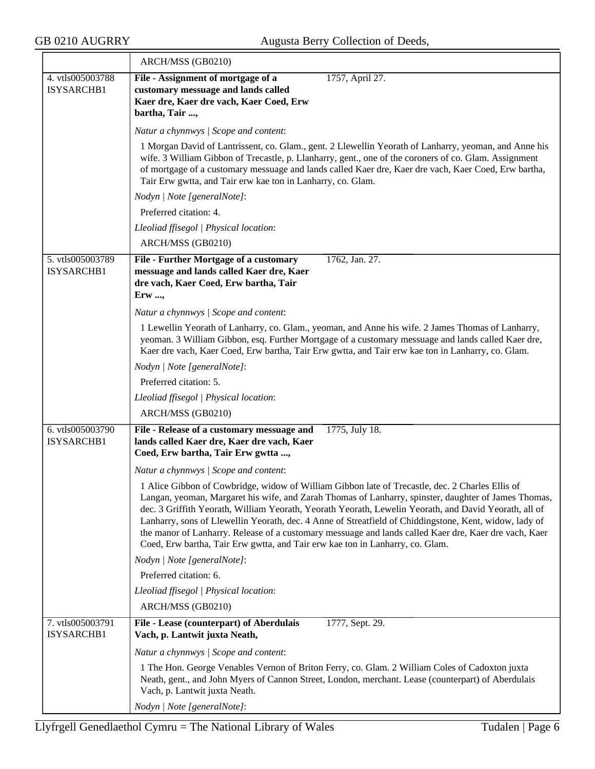|                                | ARCH/MSS (GB0210)                                                                                                                                                                                                                                                                                                                                                                                                                                                                                                                                                                                                    |
|--------------------------------|----------------------------------------------------------------------------------------------------------------------------------------------------------------------------------------------------------------------------------------------------------------------------------------------------------------------------------------------------------------------------------------------------------------------------------------------------------------------------------------------------------------------------------------------------------------------------------------------------------------------|
| 4. vtls005003788               | File - Assignment of mortgage of a<br>1757, April 27.                                                                                                                                                                                                                                                                                                                                                                                                                                                                                                                                                                |
| ISYSARCHB1                     | customary messuage and lands called<br>Kaer dre, Kaer dre vach, Kaer Coed, Erw                                                                                                                                                                                                                                                                                                                                                                                                                                                                                                                                       |
|                                | bartha, Tair ,                                                                                                                                                                                                                                                                                                                                                                                                                                                                                                                                                                                                       |
|                                | Natur a chynnwys / Scope and content:                                                                                                                                                                                                                                                                                                                                                                                                                                                                                                                                                                                |
|                                | 1 Morgan David of Lantrissent, co. Glam., gent. 2 Llewellin Yeorath of Lanharry, yeoman, and Anne his<br>wife. 3 William Gibbon of Trecastle, p. Llanharry, gent., one of the coroners of co. Glam. Assignment<br>of mortgage of a customary messuage and lands called Kaer dre, Kaer dre vach, Kaer Coed, Erw bartha,<br>Tair Erw gwtta, and Tair erw kae ton in Lanharry, co. Glam.                                                                                                                                                                                                                                |
|                                | Nodyn   Note [generalNote]:                                                                                                                                                                                                                                                                                                                                                                                                                                                                                                                                                                                          |
|                                | Preferred citation: 4.                                                                                                                                                                                                                                                                                                                                                                                                                                                                                                                                                                                               |
|                                | Lleoliad ffisegol   Physical location:                                                                                                                                                                                                                                                                                                                                                                                                                                                                                                                                                                               |
|                                | ARCH/MSS (GB0210)                                                                                                                                                                                                                                                                                                                                                                                                                                                                                                                                                                                                    |
| 5. vtls005003789<br>ISYSARCHB1 | File - Further Mortgage of a customary<br>1762, Jan. 27.<br>messuage and lands called Kaer dre, Kaer<br>dre vach, Kaer Coed, Erw bartha, Tair<br>Erw ,                                                                                                                                                                                                                                                                                                                                                                                                                                                               |
|                                | Natur a chynnwys / Scope and content:                                                                                                                                                                                                                                                                                                                                                                                                                                                                                                                                                                                |
|                                | 1 Lewellin Yeorath of Lanharry, co. Glam., yeoman, and Anne his wife. 2 James Thomas of Lanharry,<br>yeoman. 3 William Gibbon, esq. Further Mortgage of a customary messuage and lands called Kaer dre,<br>Kaer dre vach, Kaer Coed, Erw bartha, Tair Erw gwtta, and Tair erw kae ton in Lanharry, co. Glam.                                                                                                                                                                                                                                                                                                         |
|                                | Nodyn   Note [generalNote]:                                                                                                                                                                                                                                                                                                                                                                                                                                                                                                                                                                                          |
|                                | Preferred citation: 5.                                                                                                                                                                                                                                                                                                                                                                                                                                                                                                                                                                                               |
|                                | Lleoliad ffisegol   Physical location:                                                                                                                                                                                                                                                                                                                                                                                                                                                                                                                                                                               |
|                                | ARCH/MSS (GB0210)                                                                                                                                                                                                                                                                                                                                                                                                                                                                                                                                                                                                    |
| 6. vtls005003790<br>ISYSARCHB1 | File - Release of a customary messuage and<br>1775, July 18.<br>lands called Kaer dre, Kaer dre vach, Kaer<br>Coed, Erw bartha, Tair Erw gwtta ,                                                                                                                                                                                                                                                                                                                                                                                                                                                                     |
|                                | Natur a chynnwys / Scope and content:                                                                                                                                                                                                                                                                                                                                                                                                                                                                                                                                                                                |
|                                | 1 Alice Gibbon of Cowbridge, widow of William Gibbon late of Trecastle, dec. 2 Charles Ellis of<br>Langan, yeoman, Margaret his wife, and Zarah Thomas of Lanharry, spinster, daughter of James Thomas,<br>dec. 3 Griffith Yeorath, William Yeorath, Yeorath Yeorath, Lewelin Yeorath, and David Yeorath, all of<br>Lanharry, sons of Llewellin Yeorath, dec. 4 Anne of Streatfield of Chiddingstone, Kent, widow, lady of<br>the manor of Lanharry. Release of a customary messuage and lands called Kaer dre, Kaer dre vach, Kaer<br>Coed, Erw bartha, Tair Erw gwtta, and Tair erw kae ton in Lanharry, co. Glam. |
|                                | Nodyn   Note [generalNote]:                                                                                                                                                                                                                                                                                                                                                                                                                                                                                                                                                                                          |
|                                | Preferred citation: 6.                                                                                                                                                                                                                                                                                                                                                                                                                                                                                                                                                                                               |
|                                | Lleoliad ffisegol   Physical location:                                                                                                                                                                                                                                                                                                                                                                                                                                                                                                                                                                               |
|                                | ARCH/MSS (GB0210)                                                                                                                                                                                                                                                                                                                                                                                                                                                                                                                                                                                                    |
| 7. vtls005003791<br>ISYSARCHB1 | 1777, Sept. 29.<br>File - Lease (counterpart) of Aberdulais<br>Vach, p. Lantwit juxta Neath,                                                                                                                                                                                                                                                                                                                                                                                                                                                                                                                         |
|                                | Natur a chynnwys / Scope and content:                                                                                                                                                                                                                                                                                                                                                                                                                                                                                                                                                                                |
|                                | 1 The Hon. George Venables Vernon of Briton Ferry, co. Glam. 2 William Coles of Cadoxton juxta<br>Neath, gent., and John Myers of Cannon Street, London, merchant. Lease (counterpart) of Aberdulais<br>Vach, p. Lantwit juxta Neath.                                                                                                                                                                                                                                                                                                                                                                                |
|                                | Nodyn   Note [generalNote]:                                                                                                                                                                                                                                                                                                                                                                                                                                                                                                                                                                                          |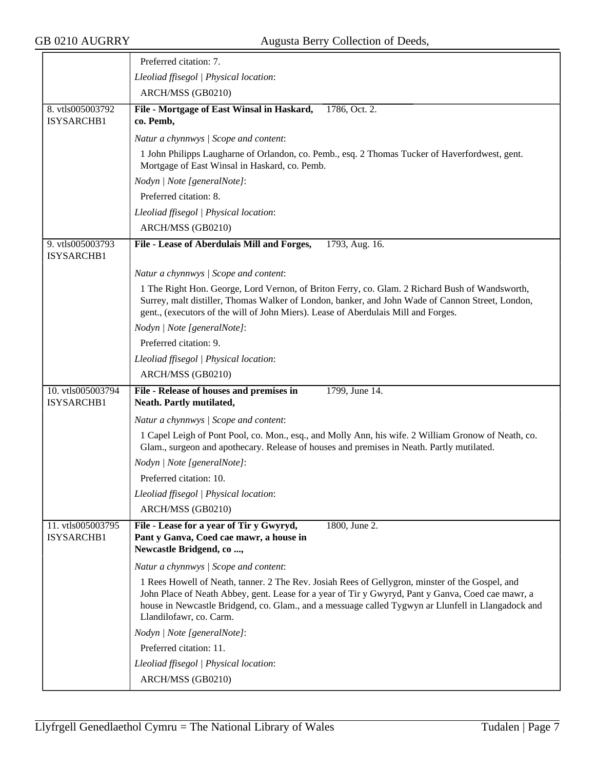|                                 | Preferred citation: 7.                                                                                                                                                                                                                                                                                                                |
|---------------------------------|---------------------------------------------------------------------------------------------------------------------------------------------------------------------------------------------------------------------------------------------------------------------------------------------------------------------------------------|
|                                 | Lleoliad ffisegol   Physical location:                                                                                                                                                                                                                                                                                                |
|                                 | ARCH/MSS (GB0210)                                                                                                                                                                                                                                                                                                                     |
| 8. vtls005003792<br>ISYSARCHB1  | File - Mortgage of East Winsal in Haskard,<br>1786, Oct. 2.<br>co. Pemb,                                                                                                                                                                                                                                                              |
|                                 | Natur a chynnwys / Scope and content:                                                                                                                                                                                                                                                                                                 |
|                                 | 1 John Philipps Laugharne of Orlandon, co. Pemb., esq. 2 Thomas Tucker of Haverfordwest, gent.<br>Mortgage of East Winsal in Haskard, co. Pemb.                                                                                                                                                                                       |
|                                 | Nodyn   Note [generalNote]:                                                                                                                                                                                                                                                                                                           |
|                                 | Preferred citation: 8.                                                                                                                                                                                                                                                                                                                |
|                                 | Lleoliad ffisegol   Physical location:                                                                                                                                                                                                                                                                                                |
|                                 | ARCH/MSS (GB0210)                                                                                                                                                                                                                                                                                                                     |
| 9. vtls005003793<br>ISYSARCHB1  | File - Lease of Aberdulais Mill and Forges,<br>1793, Aug. 16.                                                                                                                                                                                                                                                                         |
|                                 | Natur a chynnwys / Scope and content:                                                                                                                                                                                                                                                                                                 |
|                                 | 1 The Right Hon. George, Lord Vernon, of Briton Ferry, co. Glam. 2 Richard Bush of Wandsworth,<br>Surrey, malt distiller, Thomas Walker of London, banker, and John Wade of Cannon Street, London,<br>gent., (executors of the will of John Miers). Lease of Aberdulais Mill and Forges.                                              |
|                                 | Nodyn   Note [generalNote]:                                                                                                                                                                                                                                                                                                           |
|                                 | Preferred citation: 9.                                                                                                                                                                                                                                                                                                                |
|                                 | Lleoliad ffisegol   Physical location:                                                                                                                                                                                                                                                                                                |
|                                 | ARCH/MSS (GB0210)                                                                                                                                                                                                                                                                                                                     |
| 10. vtls005003794<br>ISYSARCHB1 | File - Release of houses and premises in<br>1799, June 14.<br>Neath. Partly mutilated,                                                                                                                                                                                                                                                |
|                                 | Natur a chynnwys / Scope and content:                                                                                                                                                                                                                                                                                                 |
|                                 | 1 Capel Leigh of Pont Pool, co. Mon., esq., and Molly Ann, his wife. 2 William Gronow of Neath, co.<br>Glam., surgeon and apothecary. Release of houses and premises in Neath. Partly mutilated.                                                                                                                                      |
|                                 | Nodyn   Note [generalNote]:                                                                                                                                                                                                                                                                                                           |
|                                 | Preferred citation: 10.                                                                                                                                                                                                                                                                                                               |
|                                 | Lleoliad ffisegol   Physical location:                                                                                                                                                                                                                                                                                                |
|                                 | ARCH/MSS (GB0210)                                                                                                                                                                                                                                                                                                                     |
| 11. vtls005003795<br>ISYSARCHB1 | File - Lease for a year of Tir y Gwyryd,<br>1800, June 2.<br>Pant y Ganva, Coed cae mawr, a house in<br>Newcastle Bridgend, co ,                                                                                                                                                                                                      |
|                                 | Natur a chynnwys / Scope and content:                                                                                                                                                                                                                                                                                                 |
|                                 | 1 Rees Howell of Neath, tanner. 2 The Rev. Josiah Rees of Gellygron, minster of the Gospel, and<br>John Place of Neath Abbey, gent. Lease for a year of Tir y Gwyryd, Pant y Ganva, Coed cae mawr, a<br>house in Newcastle Bridgend, co. Glam., and a messuage called Tygwyn ar Llunfell in Llangadock and<br>Llandilofawr, co. Carm. |
|                                 | Nodyn   Note [generalNote]:                                                                                                                                                                                                                                                                                                           |
|                                 | Preferred citation: 11.                                                                                                                                                                                                                                                                                                               |
|                                 | Lleoliad ffisegol   Physical location:                                                                                                                                                                                                                                                                                                |
|                                 | ARCH/MSS (GB0210)                                                                                                                                                                                                                                                                                                                     |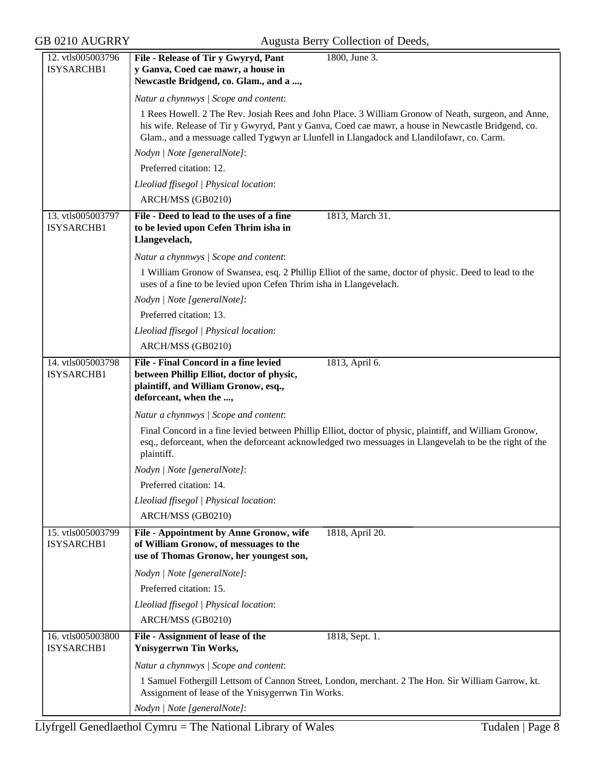| 12. vtls005003796               | File - Release of Tir y Gwyryd, Pant<br>1800, June 3.                                                                                                                                                                                                                                                  |
|---------------------------------|--------------------------------------------------------------------------------------------------------------------------------------------------------------------------------------------------------------------------------------------------------------------------------------------------------|
| ISYSARCHB1                      | y Ganva, Coed cae mawr, a house in                                                                                                                                                                                                                                                                     |
|                                 | Newcastle Bridgend, co. Glam., and a ,                                                                                                                                                                                                                                                                 |
|                                 | Natur a chynnwys / Scope and content:                                                                                                                                                                                                                                                                  |
|                                 | 1 Rees Howell. 2 The Rev. Josiah Rees and John Place. 3 William Gronow of Neath, surgeon, and Anne,<br>his wife. Release of Tir y Gwyryd, Pant y Ganva, Coed cae mawr, a house in Newcastle Bridgend, co.<br>Glam., and a messuage called Tygwyn ar Llunfell in Llangadock and Llandilofawr, co. Carm. |
|                                 | Nodyn   Note [generalNote]:                                                                                                                                                                                                                                                                            |
|                                 | Preferred citation: 12.                                                                                                                                                                                                                                                                                |
|                                 | Lleoliad ffisegol   Physical location:                                                                                                                                                                                                                                                                 |
|                                 | ARCH/MSS (GB0210)                                                                                                                                                                                                                                                                                      |
| 13. vtls005003797<br>ISYSARCHB1 | File - Deed to lead to the uses of a fine<br>1813, March 31.<br>to be levied upon Cefen Thrim isha in<br>Llangevelach,                                                                                                                                                                                 |
|                                 | Natur a chynnwys / Scope and content:                                                                                                                                                                                                                                                                  |
|                                 | 1 William Gronow of Swansea, esq. 2 Phillip Elliot of the same, doctor of physic. Deed to lead to the<br>uses of a fine to be levied upon Cefen Thrim isha in Llangevelach.                                                                                                                            |
|                                 | Nodyn   Note [generalNote]:                                                                                                                                                                                                                                                                            |
|                                 | Preferred citation: 13.                                                                                                                                                                                                                                                                                |
|                                 | Lleoliad ffisegol   Physical location:                                                                                                                                                                                                                                                                 |
|                                 | ARCH/MSS (GB0210)                                                                                                                                                                                                                                                                                      |
| 14. vtls005003798               | <b>File - Final Concord in a fine levied</b><br>1813, April 6.                                                                                                                                                                                                                                         |
| ISYSARCHB1                      | between Phillip Elliot, doctor of physic,<br>plaintiff, and William Gronow, esq.,<br>deforceant, when the ,                                                                                                                                                                                            |
|                                 | Natur a chynnwys / Scope and content:                                                                                                                                                                                                                                                                  |
|                                 | Final Concord in a fine levied between Phillip Elliot, doctor of physic, plaintiff, and William Gronow,<br>esq., deforceant, when the deforceant acknowledged two messuages in Llangevelah to be the right of the<br>plaintiff.                                                                        |
|                                 | Nodyn   Note [generalNote]:                                                                                                                                                                                                                                                                            |
|                                 | Preferred citation: 14.                                                                                                                                                                                                                                                                                |
|                                 | Lleoliad ffisegol   Physical location:                                                                                                                                                                                                                                                                 |
|                                 | ARCH/MSS (GB0210)                                                                                                                                                                                                                                                                                      |
| 15. vtls005003799<br>ISYSARCHB1 | File - Appointment by Anne Gronow, wife<br>1818, April 20.<br>of William Gronow, of messuages to the<br>use of Thomas Gronow, her youngest son,                                                                                                                                                        |
|                                 | Nodyn   Note [generalNote]:                                                                                                                                                                                                                                                                            |
|                                 | Preferred citation: 15.                                                                                                                                                                                                                                                                                |
|                                 | Lleoliad ffisegol   Physical location:                                                                                                                                                                                                                                                                 |
|                                 | ARCH/MSS (GB0210)                                                                                                                                                                                                                                                                                      |
| 16. vtls005003800<br>ISYSARCHB1 | File - Assignment of lease of the<br>1818, Sept. 1.<br><b>Ynisygerrwn Tin Works,</b>                                                                                                                                                                                                                   |
|                                 | Natur a chynnwys / Scope and content:                                                                                                                                                                                                                                                                  |
|                                 | 1 Samuel Fothergill Lettsom of Cannon Street, London, merchant. 2 The Hon. Sir William Garrow, kt.<br>Assignment of lease of the Ynisygerrwn Tin Works.                                                                                                                                                |
|                                 | Nodyn   Note [generalNote]:                                                                                                                                                                                                                                                                            |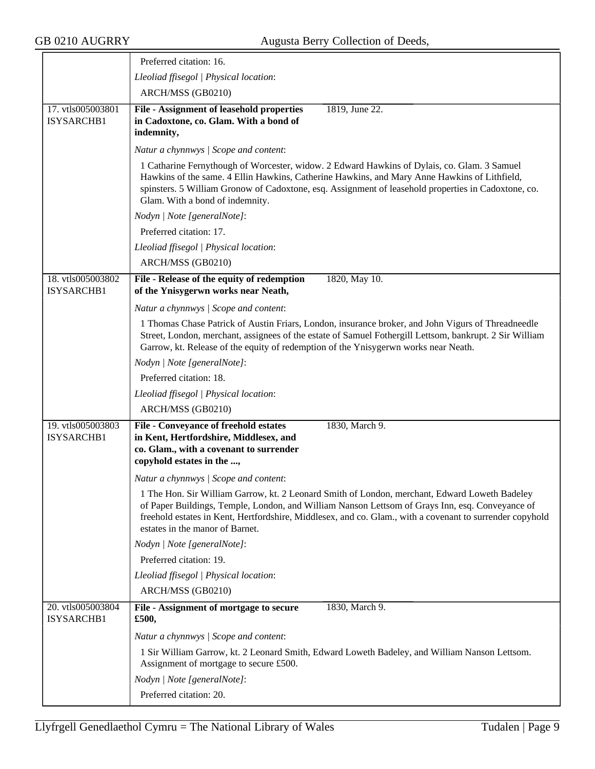$\overline{\phantom{a}}$ 

|                                 | Preferred citation: 16.                                                                                                                                                                                                                                                                                                                         |
|---------------------------------|-------------------------------------------------------------------------------------------------------------------------------------------------------------------------------------------------------------------------------------------------------------------------------------------------------------------------------------------------|
|                                 | Lleoliad ffisegol   Physical location:                                                                                                                                                                                                                                                                                                          |
|                                 | ARCH/MSS (GB0210)                                                                                                                                                                                                                                                                                                                               |
| 17. vtls005003801<br>ISYSARCHB1 | File - Assignment of leasehold properties<br>1819, June 22.<br>in Cadoxtone, co. Glam. With a bond of<br>indemnity,                                                                                                                                                                                                                             |
|                                 | Natur a chynnwys / Scope and content:                                                                                                                                                                                                                                                                                                           |
|                                 | 1 Catharine Fernythough of Worcester, widow. 2 Edward Hawkins of Dylais, co. Glam. 3 Samuel<br>Hawkins of the same. 4 Ellin Hawkins, Catherine Hawkins, and Mary Anne Hawkins of Lithfield,<br>spinsters. 5 William Gronow of Cadoxtone, esq. Assignment of leasehold properties in Cadoxtone, co.<br>Glam. With a bond of indemnity.           |
|                                 | Nodyn   Note [generalNote]:                                                                                                                                                                                                                                                                                                                     |
|                                 | Preferred citation: 17.                                                                                                                                                                                                                                                                                                                         |
|                                 | Lleoliad ffisegol   Physical location:                                                                                                                                                                                                                                                                                                          |
|                                 | ARCH/MSS (GB0210)                                                                                                                                                                                                                                                                                                                               |
| 18. vtls005003802               | File - Release of the equity of redemption<br>1820, May 10.                                                                                                                                                                                                                                                                                     |
| ISYSARCHB1                      | of the Ynisygerwn works near Neath,                                                                                                                                                                                                                                                                                                             |
|                                 | Natur a chynnwys / Scope and content:                                                                                                                                                                                                                                                                                                           |
|                                 | 1 Thomas Chase Patrick of Austin Friars, London, insurance broker, and John Vigurs of Threadneedle<br>Street, London, merchant, assignees of the estate of Samuel Fothergill Lettsom, bankrupt. 2 Sir William<br>Garrow, kt. Release of the equity of redemption of the Ynisygerwn works near Neath.                                            |
|                                 | Nodyn   Note [generalNote]:                                                                                                                                                                                                                                                                                                                     |
|                                 | Preferred citation: 18.                                                                                                                                                                                                                                                                                                                         |
|                                 | Lleoliad ffisegol   Physical location:                                                                                                                                                                                                                                                                                                          |
|                                 | ARCH/MSS (GB0210)                                                                                                                                                                                                                                                                                                                               |
| 19. vtls005003803<br>ISYSARCHB1 | File - Conveyance of freehold estates<br>1830, March 9.<br>in Kent, Hertfordshire, Middlesex, and<br>co. Glam., with a covenant to surrender<br>copyhold estates in the ,                                                                                                                                                                       |
|                                 | Natur a chynnwys / Scope and content:                                                                                                                                                                                                                                                                                                           |
|                                 | 1 The Hon. Sir William Garrow, kt. 2 Leonard Smith of London, merchant, Edward Loweth Badeley<br>of Paper Buildings, Temple, London, and William Nanson Lettsom of Grays Inn, esq. Conveyance of<br>freehold estates in Kent, Hertfordshire, Middlesex, and co. Glam., with a covenant to surrender copyhold<br>estates in the manor of Barnet. |
|                                 | Nodyn   Note [generalNote]:                                                                                                                                                                                                                                                                                                                     |
|                                 | Preferred citation: 19.                                                                                                                                                                                                                                                                                                                         |
|                                 | Lleoliad ffisegol   Physical location:                                                                                                                                                                                                                                                                                                          |
|                                 | ARCH/MSS (GB0210)                                                                                                                                                                                                                                                                                                                               |
| 20. vtls005003804<br>ISYSARCHB1 | File - Assignment of mortgage to secure<br>1830, March 9.<br>£500,                                                                                                                                                                                                                                                                              |
|                                 | Natur a chynnwys / Scope and content:                                                                                                                                                                                                                                                                                                           |
|                                 | 1 Sir William Garrow, kt. 2 Leonard Smith, Edward Loweth Badeley, and William Nanson Lettsom.<br>Assignment of mortgage to secure £500.                                                                                                                                                                                                         |
|                                 | Nodyn   Note [generalNote]:                                                                                                                                                                                                                                                                                                                     |
|                                 | Preferred citation: 20.                                                                                                                                                                                                                                                                                                                         |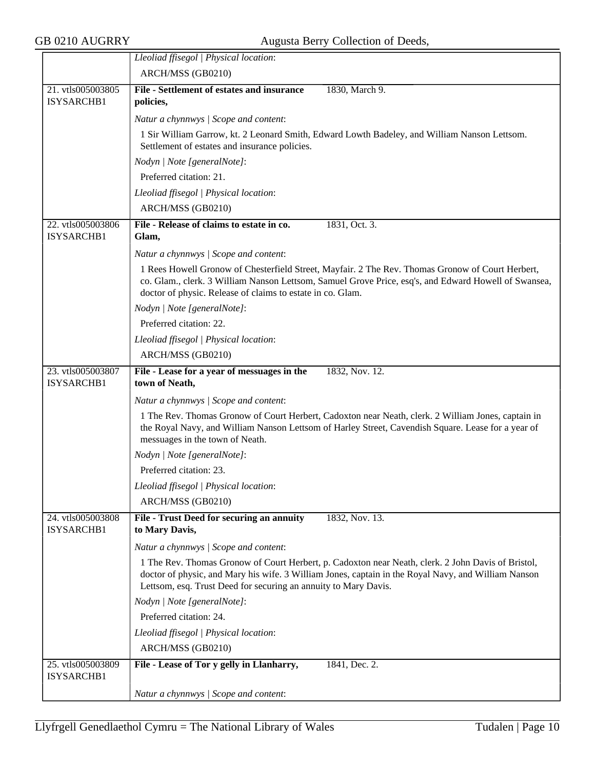|                                 | Lleoliad ffisegol   Physical location:                                                                                                                                                                                                                                       |
|---------------------------------|------------------------------------------------------------------------------------------------------------------------------------------------------------------------------------------------------------------------------------------------------------------------------|
|                                 | ARCH/MSS (GB0210)                                                                                                                                                                                                                                                            |
| 21. vtls005003805               | File - Settlement of estates and insurance<br>1830, March 9.                                                                                                                                                                                                                 |
| ISYSARCHB1                      | policies,                                                                                                                                                                                                                                                                    |
|                                 | Natur a chynnwys / Scope and content:                                                                                                                                                                                                                                        |
|                                 | 1 Sir William Garrow, kt. 2 Leonard Smith, Edward Lowth Badeley, and William Nanson Lettsom.<br>Settlement of estates and insurance policies.                                                                                                                                |
|                                 | Nodyn   Note [generalNote]:                                                                                                                                                                                                                                                  |
|                                 | Preferred citation: 21.                                                                                                                                                                                                                                                      |
|                                 | Lleoliad ffisegol   Physical location:                                                                                                                                                                                                                                       |
|                                 | ARCH/MSS (GB0210)                                                                                                                                                                                                                                                            |
| 22. vtls005003806               | File - Release of claims to estate in co.<br>1831, Oct. 3.                                                                                                                                                                                                                   |
| ISYSARCHB1                      | Glam,                                                                                                                                                                                                                                                                        |
|                                 | Natur a chynnwys / Scope and content:                                                                                                                                                                                                                                        |
|                                 | 1 Rees Howell Gronow of Chesterfield Street, Mayfair. 2 The Rev. Thomas Gronow of Court Herbert,<br>co. Glam., clerk. 3 William Nanson Lettsom, Samuel Grove Price, esq's, and Edward Howell of Swansea,<br>doctor of physic. Release of claims to estate in co. Glam.       |
|                                 | Nodyn   Note [generalNote]:                                                                                                                                                                                                                                                  |
|                                 | Preferred citation: 22.                                                                                                                                                                                                                                                      |
|                                 | Lleoliad ffisegol   Physical location:                                                                                                                                                                                                                                       |
|                                 | ARCH/MSS (GB0210)                                                                                                                                                                                                                                                            |
| 23. vtls005003807               | File - Lease for a year of messuages in the<br>1832, Nov. 12.                                                                                                                                                                                                                |
| ISYSARCHB1                      | town of Neath,                                                                                                                                                                                                                                                               |
|                                 | Natur a chynnwys / Scope and content:                                                                                                                                                                                                                                        |
|                                 | 1 The Rev. Thomas Gronow of Court Herbert, Cadoxton near Neath, clerk. 2 William Jones, captain in<br>the Royal Navy, and William Nanson Lettsom of Harley Street, Cavendish Square. Lease for a year of<br>messuages in the town of Neath.                                  |
|                                 | Nodyn   Note [generalNote]:                                                                                                                                                                                                                                                  |
|                                 | Preferred citation: 23.                                                                                                                                                                                                                                                      |
|                                 | Lleoliad ffisegol   Physical location:                                                                                                                                                                                                                                       |
|                                 | ARCH/MSS (GB0210)                                                                                                                                                                                                                                                            |
| 24. vtls005003808<br>ISYSARCHB1 | 1832, Nov. 13.<br>File - Trust Deed for securing an annuity<br>to Mary Davis,                                                                                                                                                                                                |
|                                 | Natur a chynnwys / Scope and content:                                                                                                                                                                                                                                        |
|                                 | 1 The Rev. Thomas Gronow of Court Herbert, p. Cadoxton near Neath, clerk. 2 John Davis of Bristol,<br>doctor of physic, and Mary his wife. 3 William Jones, captain in the Royal Navy, and William Nanson<br>Lettsom, esq. Trust Deed for securing an annuity to Mary Davis. |
|                                 | Nodyn   Note [generalNote]:                                                                                                                                                                                                                                                  |
|                                 | Preferred citation: 24.                                                                                                                                                                                                                                                      |
|                                 | Lleoliad ffisegol   Physical location:                                                                                                                                                                                                                                       |
|                                 | ARCH/MSS (GB0210)                                                                                                                                                                                                                                                            |
| 25. vtls005003809               | File - Lease of Tor y gelly in Llanharry,<br>1841, Dec. 2.                                                                                                                                                                                                                   |
| ISYSARCHB1                      |                                                                                                                                                                                                                                                                              |
|                                 | Natur a chynnwys / Scope and content:                                                                                                                                                                                                                                        |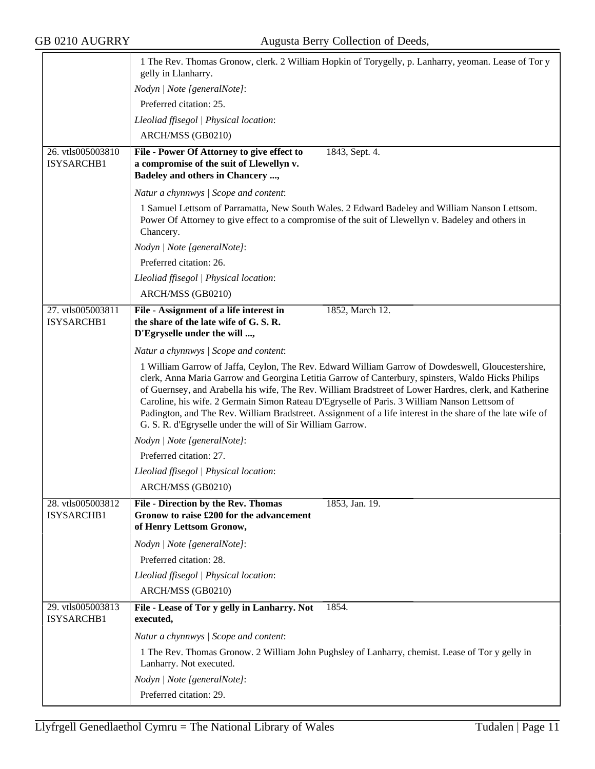|                                 | 1 The Rev. Thomas Gronow, clerk. 2 William Hopkin of Torygelly, p. Lanharry, yeoman. Lease of Tor y<br>gelly in Llanharry.                                                                                                                                                                                                                                                                                                                                                                                                                                                                    |
|---------------------------------|-----------------------------------------------------------------------------------------------------------------------------------------------------------------------------------------------------------------------------------------------------------------------------------------------------------------------------------------------------------------------------------------------------------------------------------------------------------------------------------------------------------------------------------------------------------------------------------------------|
|                                 | Nodyn   Note [generalNote]:                                                                                                                                                                                                                                                                                                                                                                                                                                                                                                                                                                   |
|                                 | Preferred citation: 25.                                                                                                                                                                                                                                                                                                                                                                                                                                                                                                                                                                       |
|                                 | Lleoliad ffisegol   Physical location:                                                                                                                                                                                                                                                                                                                                                                                                                                                                                                                                                        |
|                                 | ARCH/MSS (GB0210)                                                                                                                                                                                                                                                                                                                                                                                                                                                                                                                                                                             |
| 26. vtls005003810<br>ISYSARCHB1 | File - Power Of Attorney to give effect to<br>1843, Sept. 4.<br>a compromise of the suit of Llewellyn v.<br>Badeley and others in Chancery ,                                                                                                                                                                                                                                                                                                                                                                                                                                                  |
|                                 | Natur a chynnwys / Scope and content:                                                                                                                                                                                                                                                                                                                                                                                                                                                                                                                                                         |
|                                 | 1 Samuel Lettsom of Parramatta, New South Wales. 2 Edward Badeley and William Nanson Lettsom.<br>Power Of Attorney to give effect to a compromise of the suit of Llewellyn v. Badeley and others in<br>Chancery.                                                                                                                                                                                                                                                                                                                                                                              |
|                                 | Nodyn   Note [generalNote]:                                                                                                                                                                                                                                                                                                                                                                                                                                                                                                                                                                   |
|                                 | Preferred citation: 26.                                                                                                                                                                                                                                                                                                                                                                                                                                                                                                                                                                       |
|                                 | Lleoliad ffisegol   Physical location:                                                                                                                                                                                                                                                                                                                                                                                                                                                                                                                                                        |
|                                 | ARCH/MSS (GB0210)                                                                                                                                                                                                                                                                                                                                                                                                                                                                                                                                                                             |
| 27. vtls005003811<br>ISYSARCHB1 | File - Assignment of a life interest in<br>1852, March 12.<br>the share of the late wife of G.S.R.<br>D'Egryselle under the will ,                                                                                                                                                                                                                                                                                                                                                                                                                                                            |
|                                 | Natur a chynnwys / Scope and content:                                                                                                                                                                                                                                                                                                                                                                                                                                                                                                                                                         |
|                                 | 1 William Garrow of Jaffa, Ceylon, The Rev. Edward William Garrow of Dowdeswell, Gloucestershire,<br>clerk, Anna Maria Garrow and Georgina Letitia Garrow of Canterbury, spinsters, Waldo Hicks Philips<br>of Guernsey, and Arabella his wife, The Rev. William Bradstreet of Lower Hardres, clerk, and Katherine<br>Caroline, his wife. 2 Germain Simon Rateau D'Egryselle of Paris. 3 William Nanson Lettsom of<br>Padington, and The Rev. William Bradstreet. Assignment of a life interest in the share of the late wife of<br>G. S. R. d'Egryselle under the will of Sir William Garrow. |
|                                 | Nodyn   Note [generalNote]:                                                                                                                                                                                                                                                                                                                                                                                                                                                                                                                                                                   |
|                                 | Preferred citation: 27.                                                                                                                                                                                                                                                                                                                                                                                                                                                                                                                                                                       |
|                                 | Lleoliad ffisegol   Physical location:                                                                                                                                                                                                                                                                                                                                                                                                                                                                                                                                                        |
|                                 | ARCH/MSS (GB0210)                                                                                                                                                                                                                                                                                                                                                                                                                                                                                                                                                                             |
| 28. vtls005003812<br>ISYSARCHB1 | <b>File - Direction by the Rev. Thomas</b><br>1853, Jan. 19.<br>Gronow to raise £200 for the advancement<br>of Henry Lettsom Gronow,                                                                                                                                                                                                                                                                                                                                                                                                                                                          |
|                                 | Nodyn   Note [generalNote]:                                                                                                                                                                                                                                                                                                                                                                                                                                                                                                                                                                   |
|                                 | Preferred citation: 28.                                                                                                                                                                                                                                                                                                                                                                                                                                                                                                                                                                       |
|                                 | Lleoliad ffisegol   Physical location:                                                                                                                                                                                                                                                                                                                                                                                                                                                                                                                                                        |
|                                 | ARCH/MSS (GB0210)                                                                                                                                                                                                                                                                                                                                                                                                                                                                                                                                                                             |
| 29. vtls005003813<br>ISYSARCHB1 | File - Lease of Tor y gelly in Lanharry. Not<br>1854.<br>executed,                                                                                                                                                                                                                                                                                                                                                                                                                                                                                                                            |
|                                 | Natur a chynnwys / Scope and content:                                                                                                                                                                                                                                                                                                                                                                                                                                                                                                                                                         |
|                                 | 1 The Rev. Thomas Gronow. 2 William John Pughsley of Lanharry, chemist. Lease of Tor y gelly in<br>Lanharry. Not executed.                                                                                                                                                                                                                                                                                                                                                                                                                                                                    |
|                                 | Nodyn   Note [generalNote]:                                                                                                                                                                                                                                                                                                                                                                                                                                                                                                                                                                   |
|                                 | Preferred citation: 29.                                                                                                                                                                                                                                                                                                                                                                                                                                                                                                                                                                       |